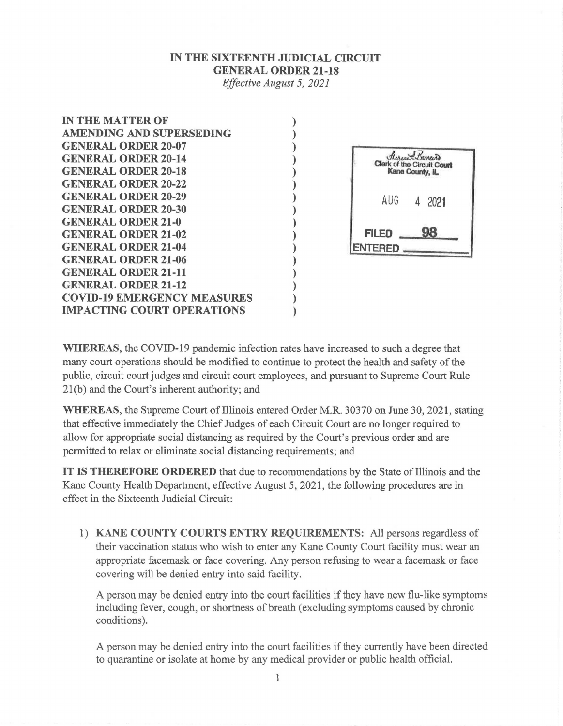## **IN THE SIXTEENTH JUDICIAL CIRCUIT GENERAL ORDER 21-18**

*Effective August 5, 2021* 

) ) ) ) ) ) ) ) ) ) ) ) ) ) ) )

| <b>IN THE MATTER OF</b>            |
|------------------------------------|
| <b>AMENDING AND SUPERSEDING</b>    |
| <b>GENERAL ORDER 20-07</b>         |
| <b>GENERAL ORDER 20-14</b>         |
| <b>GENERAL ORDER 20-18</b>         |
| <b>GENERAL ORDER 20-22</b>         |
| <b>GENERAL ORDER 20-29</b>         |
| <b>GENERAL ORDER 20-30</b>         |
| <b>GENERAL ORDER 21-0</b>          |
| <b>GENERAL ORDER 21-02</b>         |
| <b>GENERAL ORDER 21-04</b>         |
| <b>GENERAL ORDER 21-06</b>         |
| <b>GENERAL ORDER 21-11</b>         |
| <b>GENERAL ORDER 21-12</b>         |
| <b>COVID-19 EMERGENCY MEASURES</b> |
| <b>IMPACTING COURT OPERATIONS</b>  |



**WHEREAS,** the COVID-19 pandemic infection rates have increased to such a degree that many court operations should be modified to continue to protect the health and safety of the public, circuit court judges and circuit court employees, and pursuant to Supreme Court Rule 21(b) and the Court's inherent authority; and

**WHEREAS,** the Supreme Court of Illinois entered Order M.R. 30370 on June 30, 2021, stating that effective immediately the Chief Judges of each Circuit Court are no longer required to allow for appropriate social distancing as required by the Court's previous order and are permitted to relax or eliminate social distancing requirements; and

**IT IS THEREFORE ORDERED** that due to recommendations by the State of Illinois and the Kane County Health Department, effective August 5, 2021, the following procedures are in effect in the Sixteenth Judicial Circuit:

1) **KANE COUNTY COURTS ENTRY REQUIREMENTS:** All persons regardless of their vaccination status who wish to enter any Kane County Court facility must wear an appropriate facemask or face covering. Any person refusing to wear a facemask or face covering will be denied entry into said facility.

A person may be denied entry into the court facilities if they have new flu-like symptoms including fever, cough, or shortness of breath (excluding symptoms caused by chronic conditions).

A person may be denied entry into the court facilities if they currently have been directed to quarantine or isolate at home by any medical provider or public health official.